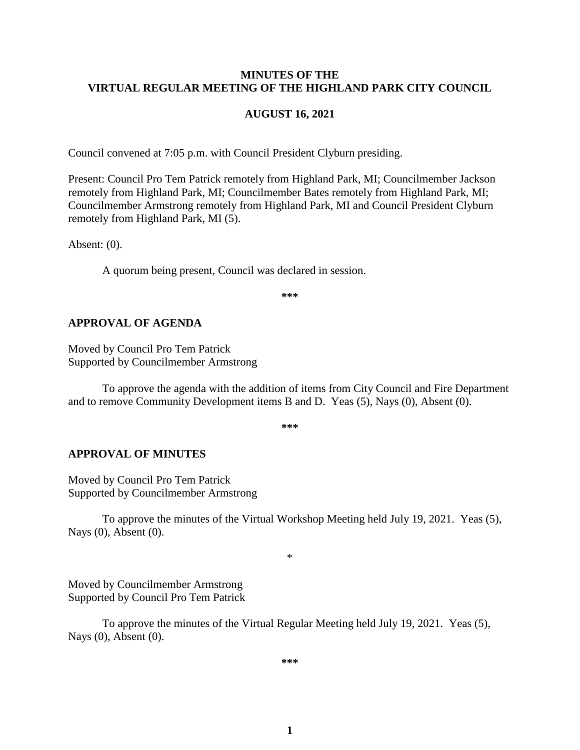### **MINUTES OF THE VIRTUAL REGULAR MEETING OF THE HIGHLAND PARK CITY COUNCIL**

#### **AUGUST 16, 2021**

Council convened at 7:05 p.m. with Council President Clyburn presiding.

Present: Council Pro Tem Patrick remotely from Highland Park, MI; Councilmember Jackson remotely from Highland Park, MI; Councilmember Bates remotely from Highland Park, MI; Councilmember Armstrong remotely from Highland Park, MI and Council President Clyburn remotely from Highland Park, MI (5).

Absent: (0).

A quorum being present, Council was declared in session.

**\*\*\***

#### **APPROVAL OF AGENDA**

Moved by Council Pro Tem Patrick Supported by Councilmember Armstrong

To approve the agenda with the addition of items from City Council and Fire Department and to remove Community Development items B and D. Yeas (5), Nays (0), Absent (0).

**\*\*\***

#### **APPROVAL OF MINUTES**

Moved by Council Pro Tem Patrick Supported by Councilmember Armstrong

To approve the minutes of the Virtual Workshop Meeting held July 19, 2021.Yeas (5), Nays (0), Absent (0).

\*

Moved by Councilmember Armstrong Supported by Council Pro Tem Patrick

To approve the minutes of the Virtual Regular Meeting held July 19, 2021.Yeas (5), Nays (0), Absent (0).

**\*\*\***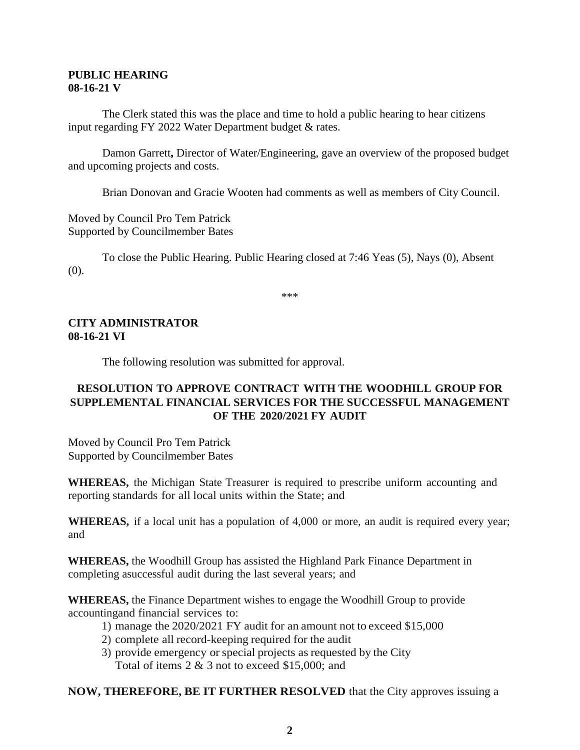### **PUBLIC HEARING 08-16-21 V**

The Clerk stated this was the place and time to hold a public hearing to hear citizens input regarding FY 2022 Water Department budget & rates.

Damon Garrett**,** Director of Water/Engineering, gave an overview of the proposed budget and upcoming projects and costs.

Brian Donovan and Gracie Wooten had comments as well as members of City Council.

Moved by Council Pro Tem Patrick Supported by Councilmember Bates

To close the Public Hearing. Public Hearing closed at 7:46 Yeas (5), Nays (0), Absent (0).

\*\*\*

## **CITY ADMINISTRATOR 08-16-21 VI**

The following resolution was submitted for approval.

# **RESOLUTION TO APPROVE CONTRACT WITH THE WOODHILL GROUP FOR SUPPLEMENTAL FINANCIAL SERVICES FOR THE SUCCESSFUL MANAGEMENT OF THE 2020/2021 FY AUDIT**

Moved by Council Pro Tem Patrick Supported by Councilmember Bates

**WHEREAS,** the Michigan State Treasurer is required to prescribe uniform accounting and reporting standards for all local units within the State; and

**WHEREAS,** if a local unit has a population of 4,000 or more, an audit is required every year; and

**WHEREAS,** the Woodhill Group has assisted the Highland Park Finance Department in completing asuccessful audit during the last several years; and

**WHEREAS,** the Finance Department wishes to engage the Woodhill Group to provide accountingand financial services to:

- 1) manage the 2020/2021 FY audit for an amount not to exceed \$15,000
- 2) complete all record-keeping required for the audit
- 3) provide emergency orspecial projects as requested by the City Total of items 2 & 3 not to exceed \$15,000; and

### **NOW, THEREFORE, BE IT FURTHER RESOLVED** that the City approves issuing a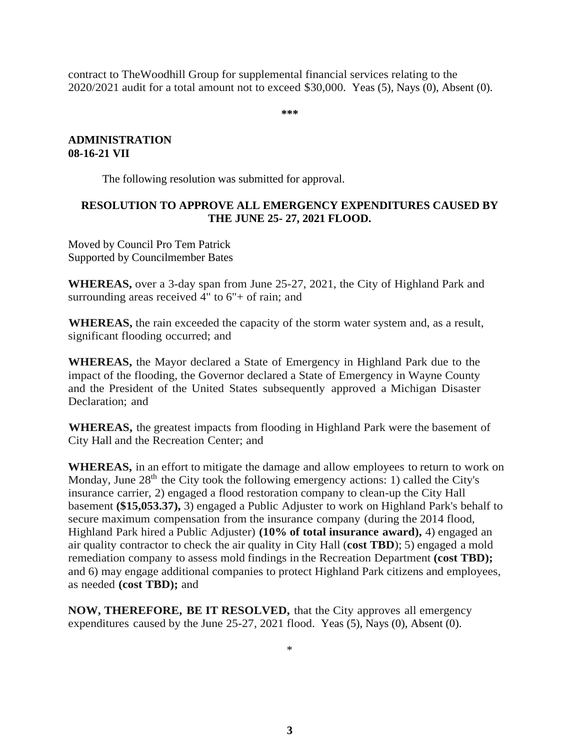contract to TheWoodhill Group for supplemental financial services relating to the 2020/2021 audit for a total amount not to exceed \$30,000. Yeas (5), Nays (0), Absent (0).

**\*\*\***

### **ADMINISTRATION 08-16-21 VII**

The following resolution was submitted for approval.

## **RESOLUTION TO APPROVE ALL EMERGENCY EXPENDITURES CAUSED BY THE JUNE 25- 27, 2021 FLOOD.**

Moved by Council Pro Tem Patrick Supported by Councilmember Bates

**WHEREAS,** over a 3-day span from June 25-27, 2021, the City of Highland Park and surrounding areas received  $4"$  to  $6"$ + of rain; and

**WHEREAS,** the rain exceeded the capacity of the storm water system and, as a result, significant flooding occurred; and

**WHEREAS,** the Mayor declared a State of Emergency in Highland Park due to the impact of the flooding, the Governor declared a State of Emergency in Wayne County and the President of the United States subsequently approved a Michigan Disaster Declaration; and

**WHEREAS,** the greatest impacts from flooding in Highland Park were the basement of City Hall and the Recreation Center; and

**WHEREAS,** in an effort to mitigate the damage and allow employees to return to work on Monday, June  $28<sup>th</sup>$  the City took the following emergency actions: 1) called the City's insurance carrier, 2) engaged a flood restoration company to clean-up the City Hall basement **(\$15,053.37),** 3) engaged a Public Adjuster to work on Highland Park's behalf to secure maximum compensation from the insurance company (during the 2014 flood, Highland Park hired a Public Adjuster) **(10% of total insurance award),** 4) engaged an air quality contractor to check the air quality in City Hall (**cost TBD**); 5) engaged a mold remediation company to assess mold findings in the Recreation Department **(cost TBD);**  and 6) may engage additional companies to protect Highland Park citizens and employees, as needed **(cost TBD);** and

**NOW, THEREFORE, BE IT RESOLVED,** that the City approves all emergency expenditures caused by the June 25-27, 2021 flood. Yeas (5), Nays (0), Absent (0).

\*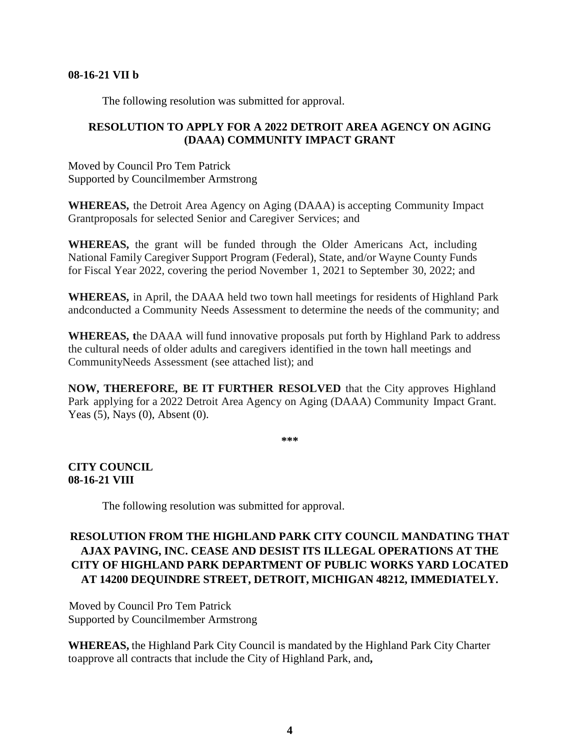#### **08-16-21 VII b**

The following resolution was submitted for approval.

# **RESOLUTION TO APPLY FOR A 2022 DETROIT AREA AGENCY ON AGING (DAAA) COMMUNITY IMPACT GRANT**

Moved by Council Pro Tem Patrick Supported by Councilmember Armstrong

**WHEREAS,** the Detroit Area Agency on Aging (DAAA) is accepting Community Impact Grantproposals for selected Senior and Caregiver Services; and

**WHEREAS,** the grant will be funded through the Older Americans Act, including National Family Caregiver Support Program (Federal), State, and/or Wayne County Funds for Fiscal Year 2022, covering the period November 1, 2021 to September 30, 2022; and

**WHEREAS,** in April, the DAAA held two town hall meetings for residents of Highland Park andconducted a Community Needs Assessment to determine the needs of the community; and

**WHEREAS, t**he DAAA will fund innovative proposals put forth by Highland Park to address the cultural needs of older adults and caregivers identified in the town hall meetings and CommunityNeeds Assessment (see attached list); and

**NOW, THEREFORE, BE IT FURTHER RESOLVED** that the City approves Highland Park applying for a 2022 Detroit Area Agency on Aging (DAAA) Community Impact Grant. Yeas (5), Nays (0), Absent (0).

**\*\*\***

**CITY COUNCIL 08-16-21 VIII** 

The following resolution was submitted for approval.

# **RESOLUTION FROM THE HIGHLAND PARK CITY COUNCIL MANDATING THAT AJAX PAVING, INC. CEASE AND DESIST ITS ILLEGAL OPERATIONS AT THE CITY OF HIGHLAND PARK DEPARTMENT OF PUBLIC WORKS YARD LOCATED AT 14200 DEQUINDRE STREET, DETROIT, MICHIGAN 48212, IMMEDIATELY.**

Moved by Council Pro Tem Patrick Supported by Councilmember Armstrong

**WHEREAS,** the Highland Park City Council is mandated by the Highland Park City Charter toapprove all contracts that include the City of Highland Park, and**,**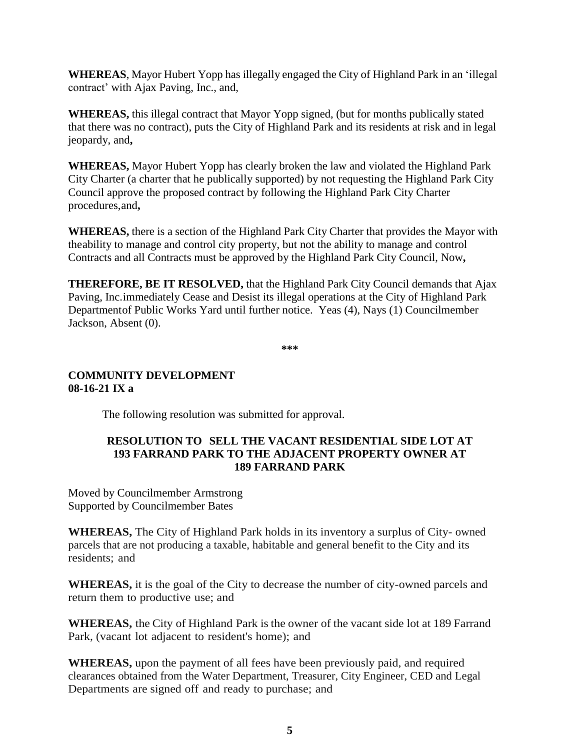**WHEREAS**, Mayor Hubert Yopp has illegally engaged the City of Highland Park in an 'illegal contract' with Ajax Paving, Inc., and,

**WHEREAS,** this illegal contract that Mayor Yopp signed, (but for months publically stated that there was no contract), puts the City of Highland Park and its residents at risk and in legal jeopardy, and**,**

**WHEREAS,** Mayor Hubert Yopp has clearly broken the law and violated the Highland Park City Charter (a charter that he publically supported) by not requesting the Highland Park City Council approve the proposed contract by following the Highland Park City Charter procedures,and**,**

**WHEREAS,** there is a section of the Highland Park City Charter that provides the Mayor with theability to manage and control city property, but not the ability to manage and control Contracts and all Contracts must be approved by the Highland Park City Council, Now**,**

**THEREFORE, BE IT RESOLVED,** that the Highland Park City Council demands that Ajax Paving, Inc.immediately Cease and Desist its illegal operations at the City of Highland Park Departmentof Public Works Yard until further notice. Yeas (4), Nays (1) Councilmember Jackson, Absent (0).

**\*\*\***

### **COMMUNITY DEVELOPMENT 08-16-21 IX a**

The following resolution was submitted for approval.

### **RESOLUTION TO SELL THE VACANT RESIDENTIAL SIDE LOT AT 193 FARRAND PARK TO THE ADJACENT PROPERTY OWNER AT 189 FARRAND PARK**

Moved by Councilmember Armstrong Supported by Councilmember Bates

**WHEREAS,** The City of Highland Park holds in its inventory a surplus of City- owned parcels that are not producing a taxable, habitable and general benefit to the City and its residents; and

**WHEREAS,** it is the goal of the City to decrease the number of city-owned parcels and return them to productive use; and

**WHEREAS,** the City of Highland Park is the owner of the vacant side lot at 189 Farrand Park, (vacant lot adjacent to resident's home); and

**WHEREAS,** upon the payment of all fees have been previously paid, and required clearances obtained from the Water Department, Treasurer, City Engineer, CED and Legal Departments are signed off and ready to purchase; and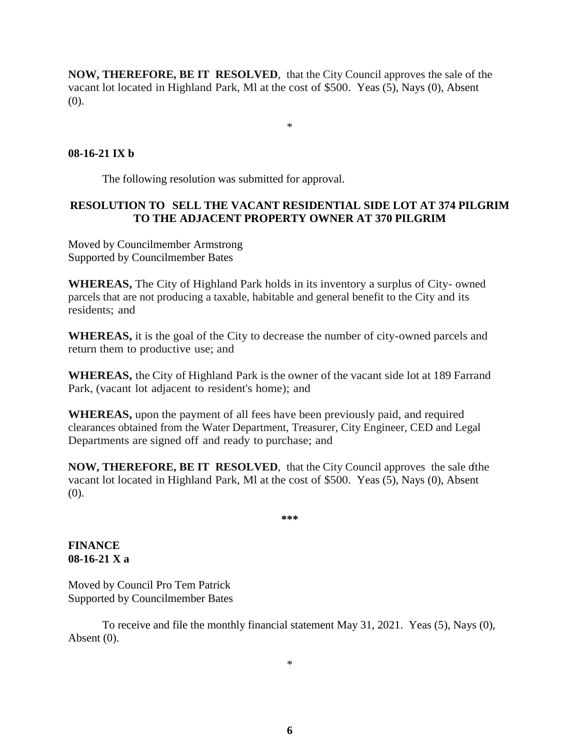**NOW, THEREFORE, BE IT RESOLVED**, that the City Council approves the sale of the vacant lot located in Highland Park, Ml at the cost of \$500. Yeas (5), Nays (0), Absent (0).

\*

## **08-16-21 IX b**

The following resolution was submitted for approval.

# **RESOLUTION TO SELL THE VACANT RESIDENTIAL SIDE LOT AT 374 PILGRIM TO THE ADJACENT PROPERTY OWNER AT 370 PILGRIM**

Moved by Councilmember Armstrong Supported by Councilmember Bates

**WHEREAS,** The City of Highland Park holds in its inventory a surplus of City- owned parcels that are not producing a taxable, habitable and general benefit to the City and its residents; and

**WHEREAS,** it is the goal of the City to decrease the number of city-owned parcels and return them to productive use; and

**WHEREAS,** the City of Highland Park is the owner of the vacant side lot at 189 Farrand Park, (vacant lot adjacent to resident's home); and

**WHEREAS,** upon the payment of all fees have been previously paid, and required clearances obtained from the Water Department, Treasurer, City Engineer, CED and Legal Departments are signed off and ready to purchase; and

**NOW, THEREFORE, BE IT RESOLVED**, that the City Council approves the sale ofthe vacant lot located in Highland Park, Ml at the cost of \$500. Yeas (5), Nays (0), Absent (0).

**\*\*\***

### **FINANCE 08-16-21 X a**

Moved by Council Pro Tem Patrick Supported by Councilmember Bates

To receive and file the monthly financial statement May 31, 2021. Yeas (5), Nays (0), Absent (0).

\*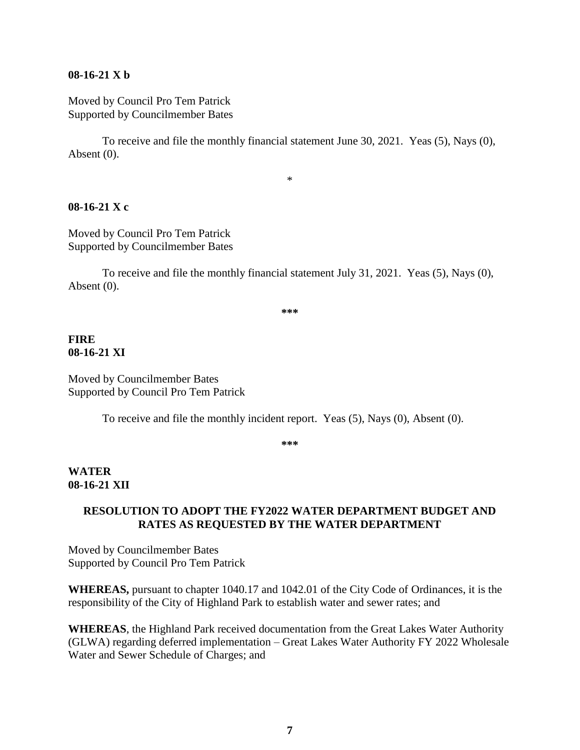#### **08-16-21 X b**

Moved by Council Pro Tem Patrick Supported by Councilmember Bates

To receive and file the monthly financial statement June 30, 2021. Yeas (5), Nays (0), Absent (0).

\*

#### **08-16-21 X c**

Moved by Council Pro Tem Patrick Supported by Councilmember Bates

To receive and file the monthly financial statement July 31, 2021. Yeas (5), Nays (0), Absent (0).

**\*\*\***

### **FIRE 08-16-21 XI**

Moved by Councilmember Bates Supported by Council Pro Tem Patrick

To receive and file the monthly incident report. Yeas (5), Nays (0), Absent (0).

**\*\*\***

### **WATER 08-16-21 XII**

### **RESOLUTION TO ADOPT THE FY2022 WATER DEPARTMENT BUDGET AND RATES AS REQUESTED BY THE WATER DEPARTMENT**

Moved by Councilmember Bates Supported by Council Pro Tem Patrick

**WHEREAS,** pursuant to chapter 1040.17 and 1042.01 of the City Code of Ordinances, it is the responsibility of the City of Highland Park to establish water and sewer rates; and

**WHEREAS**, the Highland Park received documentation from the Great Lakes Water Authority (GLWA) regarding deferred implementation – Great Lakes Water Authority FY 2022 Wholesale Water and Sewer Schedule of Charges; and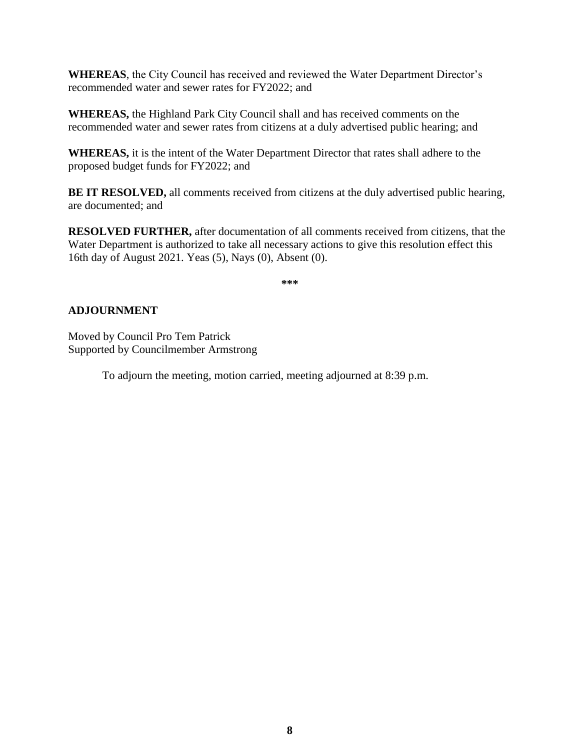**WHEREAS**, the City Council has received and reviewed the Water Department Director's recommended water and sewer rates for FY2022; and

**WHEREAS,** the Highland Park City Council shall and has received comments on the recommended water and sewer rates from citizens at a duly advertised public hearing; and

**WHEREAS,** it is the intent of the Water Department Director that rates shall adhere to the proposed budget funds for FY2022; and

**BE IT RESOLVED,** all comments received from citizens at the duly advertised public hearing, are documented; and

**RESOLVED FURTHER,** after documentation of all comments received from citizens, that the Water Department is authorized to take all necessary actions to give this resolution effect this 16th day of August 2021. Yeas (5), Nays (0), Absent (0).

**\*\*\***

## **ADJOURNMENT**

Moved by Council Pro Tem Patrick Supported by Councilmember Armstrong

To adjourn the meeting, motion carried, meeting adjourned at 8:39 p.m.